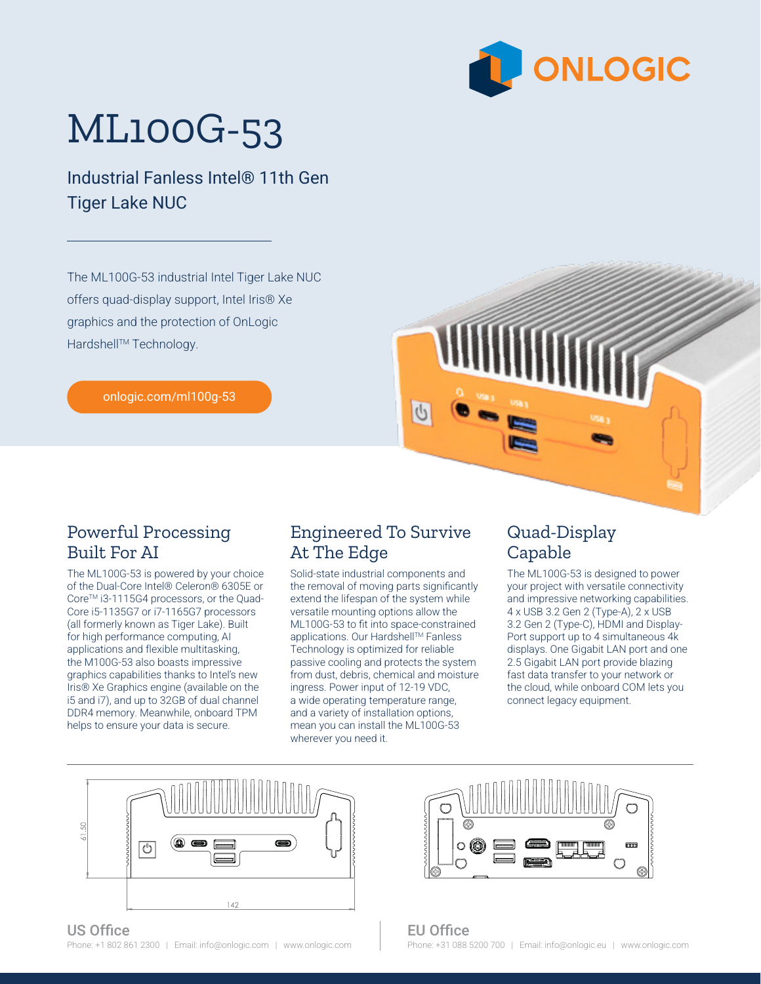

## ML100G-53

Industrial Fanless Intel® 11th Gen Tiger Lake NUC

The ML100G-53 industrial Intel Tiger Lake NUC offers quad-display support, Intel Iris® Xe graphics and the protection of OnLogic Hardshell™ Technology.

[onlogic.com/ml100g-53](http://onlogic.com/ml100g-53)



The ML100G-53 is powered by your choice of the Dual-Core Intel® Celeron® 6305E or Core™ i3-1115G4 processors, or the Quad-Core i5-1135G7 or i7-1165G7 processors (all formerly known as Tiger Lake). Built for high performance computing, AI applications and flexible multitasking, the M100G-53 also boasts impressive graphics capabilities thanks to Intel's new Iris® Xe Graphics engine (available on the i5 and i7), and up to 32GB of dual channel DDR4 memory. Meanwhile, onboard TPM helps to ensure your data is secure.

## Engineered To Survive At The Edge

 $\mathbb{C}$ 

Solid-state industrial components and the removal of moving parts significantly extend the lifespan of the system while versatile mounting options allow the ML100G-53 to fit into space-constrained applications. Our Hardshell™ Fanless Technology is optimized for reliable passive cooling and protects the system from dust, debris, chemical and moisture ingress. Power input of 12-19 VDC, a wide operating temperature range, and a variety of installation options, mean you can install the ML100G-53 wherever you need it.

## Quad-Display Capable

The ML100G-53 is designed to power your project with versatile connectivity and impressive networking capabilities. 4 x USB 3.2 Gen 2 (Type-A), 2 x USB 3.2 Gen 2 (Type-C), HDMI and Display-Port support up to 4 simultaneous 4k displays. One Gigabit LAN port and one 2.5 Gigabit LAN port provide blazing fast data transfer to your network or the cloud, while onboard COM lets you connect legacy equipment.







EU Office Phone: +31 088 5200 700 | Email: info@onlogic.eu | [www.onlogic.com](https://www.onlogic.com/)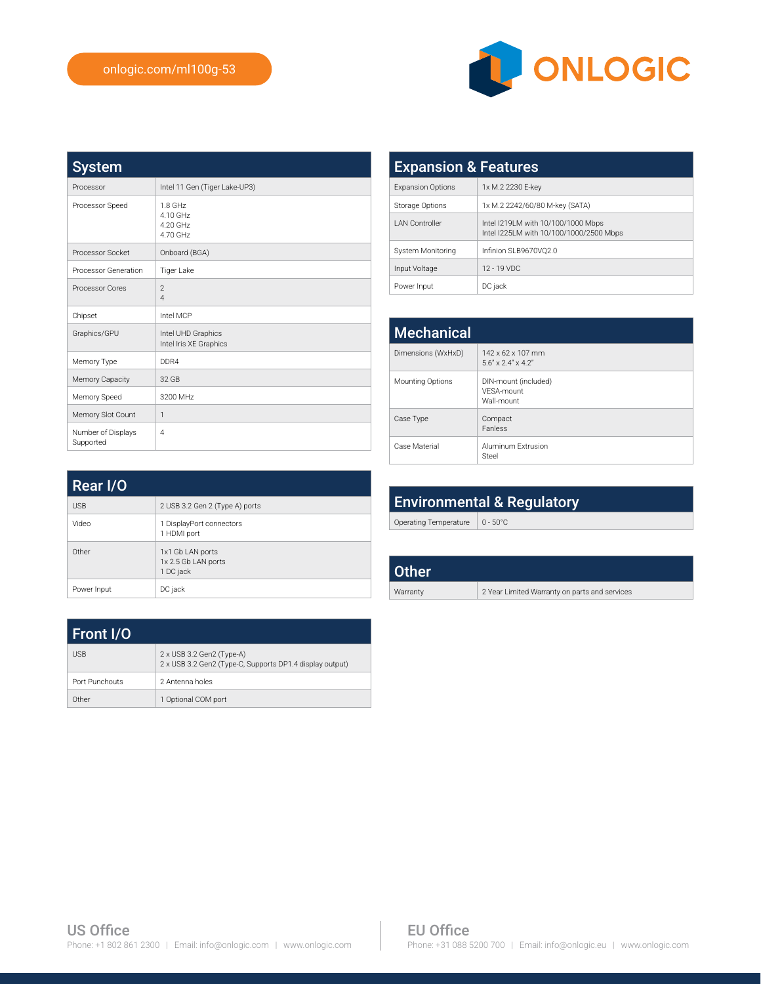

| <b>System</b>                   |                                              |
|---------------------------------|----------------------------------------------|
| Processor                       | Intel 11 Gen (Tiger Lake-UP3)                |
| Processor Speed                 | 1.8 GHz<br>4.10 GHz<br>4.20 GHz<br>4.70 GHz  |
| Processor Socket                | Onboard (BGA)                                |
| Processor Generation            | Tiger Lake                                   |
| Processor Cores                 | $\overline{2}$<br>$\overline{A}$             |
| Chipset                         | Intel MCP                                    |
| Graphics/GPU                    | Intel UHD Graphics<br>Intel Iris XE Graphics |
| Memory Type                     | DDR4                                         |
| Memory Capacity                 | 32 GB                                        |
| Memory Speed                    | 3200 MHz                                     |
| Memory Slot Count               | $\mathbf{1}$                                 |
| Number of Displays<br>Supported | 4                                            |

| <b>Expansion &amp; Features</b> |                                                                               |  |
|---------------------------------|-------------------------------------------------------------------------------|--|
| <b>Expansion Options</b>        | 1x M.2 2230 E-key                                                             |  |
| Storage Options                 | 1x M.2 2242/60/80 M-key (SATA)                                                |  |
| <b>LAN Controller</b>           | Intel I219LM with 10/100/1000 Mbps<br>Intel I225LM with 10/100/1000/2500 Mbps |  |
| System Monitoring               | Infinion SLB9670VO2.0                                                         |  |
| Input Voltage                   | $12 - 19$ VDC                                                                 |  |
| Power Input                     | DC jack                                                                       |  |

| <b>Mechanical</b>  |                                                                    |  |
|--------------------|--------------------------------------------------------------------|--|
| Dimensions (WxHxD) | $142 \times 62 \times 107$ mm<br>$5.6'' \times 2.4'' \times 4.2''$ |  |
| Mounting Options   | DIN-mount (included)<br>VFSA-mount<br>Wall-mount                   |  |
| Case Type          | Compact<br>Fanless                                                 |  |
| Case Material      | Aluminum Extrusion<br>Steel                                        |  |

| Rear I/O    |                                                      |  |
|-------------|------------------------------------------------------|--|
| <b>USB</b>  | 2 USB 3.2 Gen 2 (Type A) ports                       |  |
| Video       | 1 DisplayPort connectors<br>1 HDMI port              |  |
| Other       | 1x1 Gb LAN ports<br>1x 2.5 Gb LAN ports<br>1 DC jack |  |
| Power Input | DC jack                                              |  |

| <b>Environmental &amp; Regulatory</b> |                    |
|---------------------------------------|--------------------|
| Operating Temperature                 | $0 - 50^{\circ}$ C |
|                                       |                    |
| Other                                 |                    |
|                                       |                    |

| <b>Front I/O</b> |                                                                                       |
|------------------|---------------------------------------------------------------------------------------|
| <b>USB</b>       | 2 x USB 3.2 Gen2 (Type-A)<br>2 x USB 3.2 Gen2 (Type-C, Supports DP1.4 display output) |
| Port Punchouts   | 2 Antenna holes                                                                       |
| Other            | 1 Optional COM port                                                                   |

| ther   |                                               |
|--------|-----------------------------------------------|
| rranty | 2 Year Limited Warranty on parts and services |